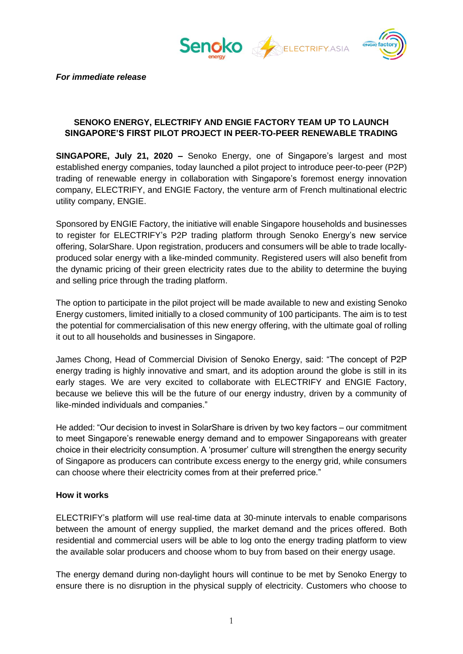



*For immediate release*

### **SENOKO ENERGY, ELECTRIFY AND ENGIE FACTORY TEAM UP TO LAUNCH SINGAPORE'S FIRST PILOT PROJECT IN PEER-TO-PEER RENEWABLE TRADING**

**SINGAPORE, July 21, 2020 –** Senoko Energy, one of Singapore's largest and most established energy companies, today launched a pilot project to introduce peer-to-peer (P2P) trading of renewable energy in collaboration with Singapore's foremost energy innovation company, ELECTRIFY, and ENGIE Factory, the venture arm of French multinational electric utility company, ENGIE.

Sponsored by ENGIE Factory, the initiative will enable Singapore households and businesses to register for ELECTRIFY's P2P trading platform through Senoko Energy's new service offering, SolarShare. Upon registration, producers and consumers will be able to trade locallyproduced solar energy with a like-minded community. Registered users will also benefit from the dynamic pricing of their green electricity rates due to the ability to determine the buying and selling price through the trading platform.

The option to participate in the pilot project will be made available to new and existing Senoko Energy customers, limited initially to a closed community of 100 participants. The aim is to test the potential for commercialisation of this new energy offering, with the ultimate goal of rolling it out to all households and businesses in Singapore.

James Chong, Head of Commercial Division of Senoko Energy, said: "The concept of P2P energy trading is highly innovative and smart, and its adoption around the globe is still in its early stages. We are very excited to collaborate with ELECTRIFY and ENGIE Factory, because we believe this will be the future of our energy industry, driven by a community of like-minded individuals and companies."

He added: "Our decision to invest in SolarShare is driven by two key factors – our commitment to meet Singapore's renewable energy demand and to empower Singaporeans with greater choice in their electricity consumption. A 'prosumer' culture will strengthen the energy security of Singapore as producers can contribute excess energy to the energy grid, while consumers can choose where their electricity comes from at their preferred price."

#### **How it works**

ELECTRIFY's platform will use real-time data at 30-minute intervals to enable comparisons between the amount of energy supplied, the market demand and the prices offered. Both residential and commercial users will be able to log onto the energy trading platform to view the available solar producers and choose whom to buy from based on their energy usage.

The energy demand during non-daylight hours will continue to be met by Senoko Energy to ensure there is no disruption in the physical supply of electricity. Customers who choose to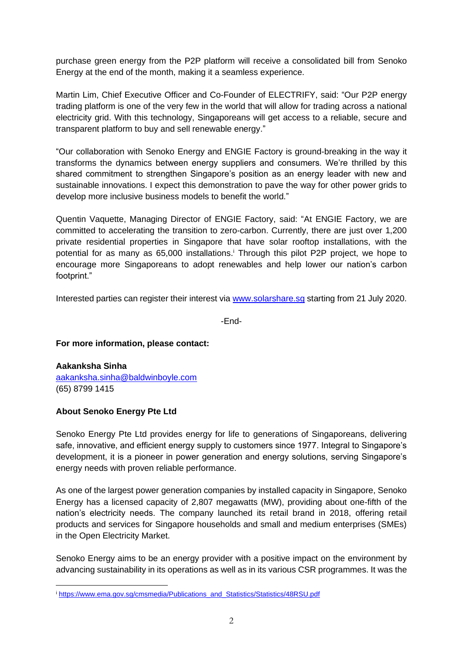purchase green energy from the P2P platform will receive a consolidated bill from Senoko Energy at the end of the month, making it a seamless experience.

Martin Lim, Chief Executive Officer and Co-Founder of ELECTRIFY, said: "Our P2P energy trading platform is one of the very few in the world that will allow for trading across a national electricity grid. With this technology, Singaporeans will get access to a reliable, secure and transparent platform to buy and sell renewable energy."

"Our collaboration with Senoko Energy and ENGIE Factory is ground-breaking in the way it transforms the dynamics between energy suppliers and consumers. We're thrilled by this shared commitment to strengthen Singapore's position as an energy leader with new and sustainable innovations. I expect this demonstration to pave the way for other power grids to develop more inclusive business models to benefit the world."

Quentin Vaquette, Managing Director of ENGIE Factory, said: "At ENGIE Factory, we are committed to accelerating the transition to zero-carbon. Currently, there are just over 1,200 private residential properties in Singapore that have solar rooftop installations, with the potential for as many as 65,000 installations.<sup>i</sup> Through this pilot P2P project, we hope to encourage more Singaporeans to adopt renewables and help lower our nation's carbon footprint."

Interested parties can register their interest via [www.solarshare.sg](http://www.solarshare.sg/) starting from 21 July 2020.

-End-

#### **For more information, please contact:**

**Aakanksha Sinha** [aakanksha.sinha@baldwinboyle.com](mailto:aakanksha.sinha@baldwinboyle.com) (65) 8799 1415

# **About Senoko Energy Pte Ltd**

Senoko Energy Pte Ltd provides energy for life to generations of Singaporeans, delivering safe, innovative, and efficient energy supply to customers since 1977. Integral to Singapore's development, it is a pioneer in power generation and energy solutions, serving Singapore's energy needs with proven reliable performance.

As one of the largest power generation companies by installed capacity in Singapore, Senoko Energy has a licensed capacity of 2,807 megawatts (MW), providing about one-fifth of the nation's electricity needs. The company launched its retail brand in 2018, offering retail products and services for Singapore households and small and medium enterprises (SMEs) in the Open Electricity Market.

Senoko Energy aims to be an energy provider with a positive impact on the environment by advancing sustainability in its operations as well as in its various CSR programmes. It was the

<sup>i</sup> [https://www.ema.gov.sg/cmsmedia/Publications\\_and\\_Statistics/Statistics/48RSU.pdf](https://www.ema.gov.sg/cmsmedia/Publications_and_Statistics/Statistics/48RSU.pdf)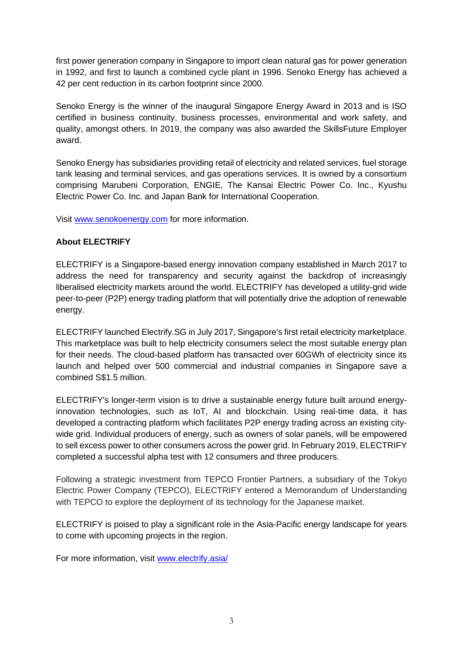first power generation company in Singapore to import clean natural gas for power generation in 1992, and first to launch a combined cycle plant in 1996. Senoko Energy has achieved a 42 per cent reduction in its carbon footprint since 2000.

Senoko Energy is the winner of the inaugural Singapore Energy Award in 2013 and is ISO certified in business continuity, business processes, environmental and work safety, and quality, amongst others. In 2019, the company was also awarded the SkillsFuture Employer award.

Senoko Energy has subsidiaries providing retail of electricity and related services, fuel storage tank leasing and terminal services, and gas operations services. It is owned by a consortium comprising Marubeni Corporation, ENGIE, The Kansai Electric Power Co. Inc., Kyushu Electric Power Co. Inc. and Japan Bank for International Cooperation.

Visit [www.senokoenergy.com](http://www.senokoenergy.com/) for more information.

# **About ELECTRIFY**

ELECTRIFY is a Singapore-based energy innovation company established in March 2017 to address the need for transparency and security against the backdrop of increasingly liberalised electricity markets around the world. ELECTRIFY has developed a utility-grid wide peer-to-peer (P2P) energy trading platform that will potentially drive the adoption of renewable energy.

ELECTRIFY launched Electrify.SG in July 2017, Singapore's first retail electricity marketplace. This marketplace was built to help electricity consumers select the most suitable energy plan for their needs. The cloud-based platform has transacted over 60GWh of electricity since its launch and helped over 500 commercial and industrial companies in Singapore save a combined S\$1.5 million.

ELECTRIFY's longer-term vision is to drive a sustainable energy future built around energyinnovation technologies, such as IoT, AI and blockchain. Using real-time data, it has developed a contracting platform which facilitates P2P energy trading across an existing citywide grid. Individual producers of energy, such as owners of solar panels, will be empowered to sell excess power to other consumers across the power grid. In February 2019, ELECTRIFY completed a successful alpha test with 12 consumers and three producers.

Following a strategic investment from TEPCO Frontier Partners, a subsidiary of the Tokyo Electric Power Company (TEPCO), ELECTRIFY entered a Memorandum of Understanding with TEPCO to explore the deployment of its technology for the Japanese market.

ELECTRIFY is poised to play a significant role in the Asia-Pacific energy landscape for years to come with upcoming projects in the region.

For more information, visit [www.electrify.asia/](http://www.electrify.asia/)